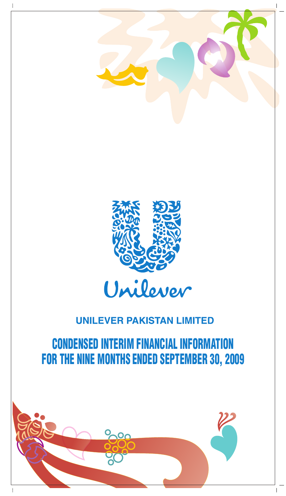



# CONDENSED INTERIM FINANCIAL INFORMATION FOR THE NINE MONTHS ENDED SEPTEMBER 30, 2009

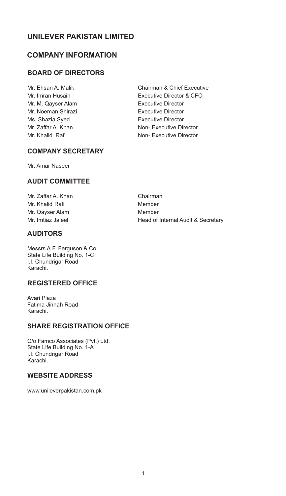# **COMPANY INFORMATION**

# **BOARD OF DIRECTORS**

Mr. M. Qayser Alam **Executive Director** Mr. Noeman Shirazi **Executive Director** Ms. Shazia Syed **Executive Director** 

Mr. Ehsan A. Malik Chairman & Chief Executive Mr. Imran Husain Executive Director & CFO Mr. Zaffar A. Khan Non- Executive Director Mr. Khalid Rafi Non- Executive Director

## **COMPANY SECRETARY**

Mr. Amar Naseer

## **AUDIT COMMITTEE**

| Mr. Zaffar A. Khan |
|--------------------|
| Mr. Khalid Rafi    |
| Mr. Qayser Alam    |
| Mr. Imtiaz Jaleel  |

## **AUDITORS**

Messrs A.F. Ferguson & Co. State Life Building No. 1-C I.I. Chundrigar Road Karachi.

## **REGISTERED OFFICE**

Avari Plaza Fatima Jinnah Road Karachi.

## **SHARE REGISTRATION OFFICE**

C/o Famco Associates (Pvt.) Ltd. State Life Building No. 1-A I.I. Chundrigar Road Karachi.

# **WEBSITE ADDRESS**

www.unileverpakistan.com.pk

Chairman **Member Member** Head of Internal Audit & Secretary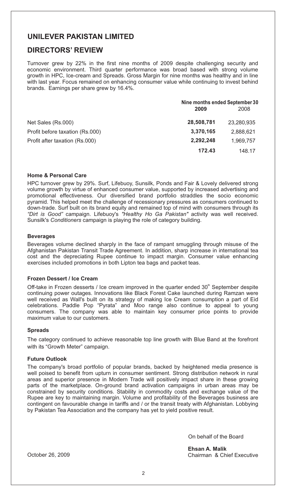# **DIRECTORS' REVIEW**

Turnover grew by 22% in the first nine months of 2009 despite challenging security and economic environment. Third quarter performance was broad based with strong volume growth in HPC, Ice-cream and Spreads. Gross Margin for nine months was healthy and in line with last year. Focus remained on enhancing consumer value while continuing to invest behind brands. Earnings per share grew by 16.4%.

|                                 | Nine months ended September 30 |            |  |
|---------------------------------|--------------------------------|------------|--|
|                                 | 2009                           | 2008       |  |
| Net Sales (Rs.000)              | 28,508,781                     | 23.280.935 |  |
| Profit before taxation (Rs.000) | 3,370,165                      | 2.888.621  |  |
| Profit after taxation (Rs.000)  | 2,292,248                      | 1.969.757  |  |
|                                 | 172.43                         | 148.17     |  |

#### **Home & Personal Care**

HPC turnover grew by 29%. Surf, Lifebuoy, Sunsilk, Ponds and Fair & Lovely delivered strong volume growth by virtue of enhanced consumer value, supported by increased advertising and promotional effectiveness. Our diversified brand portfolio straddles the socio economic pyramid. This helped meet the challenge of recessionary pressures as consumers continued to down-trade. Surf built on its brand equity and remained top of mind with consumers through its *"Dirt is Good"* campaign. Lifebuoy's *"Healthy Ho Ga Pakistan"* activity was well received. Sunsilk's *Conditioners* campaign is playing the role of category building.

#### **Beverages**

Beverages volume declined sharply in the face of rampant smuggling through misuse of the Afghanistan Pakistan Transit Trade Agreement. In addition, sharp increase in international tea cost and the depreciating Rupee continue to impact margin. Consumer value enhancing exercises included promotions in both Lipton tea bags and packet teas.

#### **Frozen Dessert / Ice Cream**

Off-take in Frozen desserts / Ice cream improved in the quarter ended  $30<sup>th</sup>$  September despite continuing power outages. Innovations like Black Forest Cake launched during Ramzan were well received as Wall's built on its strategy of making Ice Cream consumption a part of Eid celebrations. Paddle Pop "Pyrata" and Moo range also continue to appeal to young consumers. The company was able to maintain key consumer price points to provide maximum value to our customers.

#### **Spreads**

The category continued to achieve reasonable top line growth with Blue Band at the forefront with its "Growth Meter" campaign.

#### **Future Outlook**

The company's broad portfolio of popular brands, backed by heightened media presence is well poised to benefit from upturn in consumer sentiment. Strong distribution network in rural areas and superior presence in Modern Trade will positively impact share in these growing parts of the marketplace. On-ground brand activation campaigns in urban areas may be constrained by security conditions. Stability in commodity costs and exchange value of the Rupee are key to maintaining margin. Volume and profitability of the Beverages business are contingent on favourable change in tariffs and / or the transit treaty with Afghanistan. Lobbying by Pakistan Tea Association and the company has yet to yield positive result.

On behalf of the Board

**Ehsan A. Malik** Chairman & Chief Executive

October 26, 2009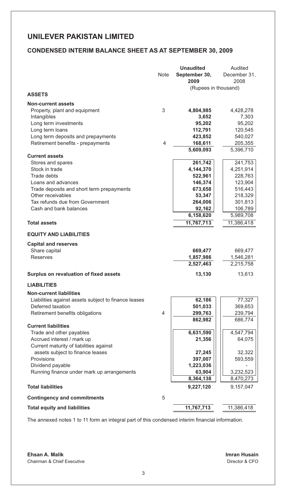## **CONDENSED INTERIM BALANCE SHEET AS AT SEPTEMBER 30, 2009**

|                                                        |      | <b>Unaudited</b>      | Audited              |
|--------------------------------------------------------|------|-----------------------|----------------------|
|                                                        | Note | September 30,<br>2009 | December 31,<br>2008 |
|                                                        |      | (Rupees in thousand)  |                      |
| <b>ASSETS</b>                                          |      |                       |                      |
| <b>Non-current assets</b>                              |      |                       |                      |
| Property, plant and equipment                          | 3    | 4,804,985             | 4,428,278            |
| Intangibles                                            |      | 3,652                 | 7,303                |
| Long term investments                                  |      | 95,202                | 95,202               |
| Long term loans                                        |      | 112,791               | 120,545              |
| Long term deposits and prepayments                     |      | 423,852               | 540,027              |
| Retirement benefits - prepayments                      | 4    | 168,611               | 205,355              |
| <b>Current assets</b>                                  |      | 5,609,093             | 5,396,710            |
| Stores and spares                                      |      | 261,742               | 241,753              |
| Stock in trade                                         |      | 4,144,370             | 4,251,914            |
| Trade debts                                            |      | 522,961               | 228,763              |
| Loans and advances                                     |      | 146,374               | 123,904              |
| Trade deposits and short term prepayments              |      | 673,658               | 516,443              |
| Other receivables                                      |      | 53,347                | 218,329              |
| Tax refunds due from Government                        |      | 264,006               | 301,813              |
| Cash and bank balances                                 |      | 92,162                | 106,789              |
|                                                        |      | 6,158,620             | 5,989,708            |
| <b>Total assets</b>                                    |      | 11,767,713            | 11,386,418           |
| <b>EQUITY AND LIABILITIES</b>                          |      |                       |                      |
| <b>Capital and reserves</b>                            |      |                       |                      |
| Share capital                                          |      | 669,477               | 669,477              |
| <b>Reserves</b>                                        |      | 1,857,986             | 1,546,281            |
|                                                        |      | 2,527,463             | 2,215,758            |
| Surplus on revaluation of fixed assets                 |      | 13,130                | 13,613               |
| <b>LIABILITIES</b>                                     |      |                       |                      |
| <b>Non-current liabilities</b>                         |      |                       |                      |
| Liabilities against assets subject to finance leases   |      | 62,186                | 77,327               |
| Deferred taxation                                      |      | 501,033               | 369,653              |
| Retirement benefits obligations                        | 4    | 299,763               | 239,794              |
|                                                        |      | 862,982               | 686,774              |
| <b>Current liabilities</b>                             |      |                       |                      |
| Trade and other payables<br>Accrued interest / mark up |      | 6,631,590<br>21,356   | 4,547,794<br>64,075  |
| Current maturity of liabilities against                |      |                       |                      |
| assets subject to finance leases                       |      | 27,245                | 32,322               |
| Provisions                                             |      | 397,007               | 593,559              |
| Dividend payable                                       |      | 1,223,036             |                      |
| Running finance under mark up arrangements             |      | 63,904                | 3,232,523            |
|                                                        |      | 8,364,138             | 8,470,273            |
| <b>Total liabilities</b>                               |      | 9,227,120             | 9,157,047            |
| <b>Contingency and commitments</b>                     | 5    |                       |                      |
| <b>Total equity and liabilities</b>                    |      | 11,767,713            | 11,386,418           |

The annexed notes 1 to 11 form an integral part of this condensed interim financial information.

**Ehsan A. Malik Imran Husain** Chairman & Chief Executive **Director & CFO**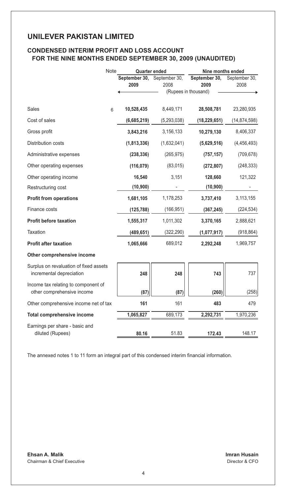## **CONDENSED INTERIM PROFIT AND LOSS ACCOUNT FOR THE NINE MONTHS ENDED SEPTEMBER 30, 2009 (UNAUDITED)**

|                                                                    | Note | <b>Quarter ended</b>  |                       | Nine months ended     |                       |  |
|--------------------------------------------------------------------|------|-----------------------|-----------------------|-----------------------|-----------------------|--|
|                                                                    |      | September 30,<br>2009 | September 30,<br>2008 | September 30,<br>2009 | September 30,<br>2008 |  |
|                                                                    |      |                       |                       | (Rupees in thousand)  |                       |  |
| Sales                                                              | 6    | 10,528,435            | 8,449,171             | 28,508,781            | 23,280,935            |  |
| Cost of sales                                                      |      | (6,685,219)           | (5,293,038)           | (18, 229, 651)        | (14, 874, 598)        |  |
| Gross profit                                                       |      | 3,843,216             | 3,156,133             | 10,279,130            | 8,406,337             |  |
| Distribution costs                                                 |      | (1,813,336)           | (1,632,041)           | (5,629,516)           | (4,456,493)           |  |
| Administrative expenses                                            |      | (238, 336)            | (265, 975)            | (757, 157)            | (709, 678)            |  |
| Other operating expenses                                           |      | (116, 079)            | (83,015)              | (272, 807)            | (248, 333)            |  |
| Other operating income                                             |      | 16,540                | 3,151                 | 128,660               | 121,322               |  |
| Restructuring cost                                                 |      | (10, 900)             |                       | (10, 900)             |                       |  |
| <b>Profit from operations</b>                                      |      | 1,681,105             | 1,178,253             | 3,737,410             | 3,113,155             |  |
| Finance costs                                                      |      | (125, 788)            | (166, 951)            | (367, 245)            | (224, 534)            |  |
| <b>Profit before taxation</b>                                      |      | 1,555,317             | 1,011,302             | 3,370,165             | 2,888,621             |  |
| Taxation                                                           |      | (489, 651)            | (322, 290)            | (1,077,917)           | (918, 864)            |  |
| <b>Profit after taxation</b>                                       |      | 1,065,666             | 689,012               | 2,292,248             | 1,969,757             |  |
| Other comprehensive income                                         |      |                       |                       |                       |                       |  |
| Surplus on revaluation of fixed assets<br>incremental depreciation |      | 248                   | 248                   | 743                   | 737                   |  |
| Income tax relating to component of<br>other comprehensive income  |      | (87)                  | (87)                  | (260)                 | (258)                 |  |
| Other comprehensive income net of tax                              |      | 161                   | 161                   | 483                   | 479                   |  |
| <b>Total comprehensive income</b>                                  |      | 1,065,827             | 689,173               | 2,292,731             | 1,970,236             |  |
| Earnings per share - basic and                                     |      |                       |                       |                       |                       |  |
| diluted (Rupees)                                                   |      | 80.16                 | 51.83                 | 172.43                | 148.17                |  |

The annexed notes 1 to 11 form an integral part of this condensed interim financial information.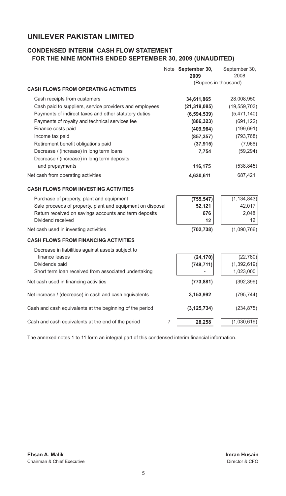# **CONDENSED INTERIM CASH FLOW STATEMENT FOR THE NINE MONTHS ENDED SEPTEMBER 30, 2009 (UNAUDITED)**

|                                                            | Note September 30,<br>2009 | September 30,<br>2008 |
|------------------------------------------------------------|----------------------------|-----------------------|
| <b>CASH FLOWS FROM OPERATING ACTIVITIES</b>                | (Rupees in thousand)       |                       |
| Cash receipts from customers                               | 34,611,865                 | 28,008,950            |
| Cash paid to suppliers, service providers and employees    | (21, 319, 085)             | (19, 559, 703)        |
| Payments of indirect taxes and other statutory duties      | (6, 594, 539)              | (5,471,140)           |
| Payments of royalty and technical services fee             | (886, 323)                 | (691, 122)            |
| Finance costs paid                                         | (409, 964)                 | (199, 691)            |
| Income tax paid                                            | (857, 357)                 | (793, 768)            |
| Retirement benefit obligations paid                        | (37, 915)                  | (7,966)               |
| Decrease / (increase) in long term loans                   | 7,754                      | (59, 294)             |
| Decrease / (increase) in long term deposits                |                            |                       |
| and prepayments                                            | 116,175                    | (538, 845)            |
| Net cash from operating activities                         | 4,630,611                  | 687,421               |
| <b>CASH FLOWS FROM INVESTING ACTIVITIES</b>                |                            |                       |
| Purchase of property, plant and equipment                  | (755, 547)                 | (1, 134, 843)         |
| Sale proceeds of property, plant and equipment on disposal | 52,121                     | 42,017                |
| Return received on savings accounts and term deposits      | 676                        | 2,048                 |
| Dividend received                                          | 12                         | 12                    |
| Net cash used in investing activities                      | (702, 738)                 | (1,090,766)           |
| <b>CASH FLOWS FROM FINANCING ACTIVITIES</b>                |                            |                       |
| Decrease in liabilities against assets subject to          |                            |                       |
| finance leases                                             | (24, 170)                  | (22, 780)             |
| Dividends paid                                             | (749, 711)                 | (1, 392, 619)         |
| Short term loan received from associated undertaking       |                            | 1,023,000             |
| Net cash used in financing activities                      | (773, 881)                 | (392, 399)            |
| Net increase / (decrease) in cash and cash equivalents     | 3,153,992                  | (795, 744)            |
| Cash and cash equivalents at the beginning of the period   | (3, 125, 734)              | (234, 875)            |
| Cash and cash equivalents at the end of the period<br>7    | 28,258                     | (1,030,619)           |

The annexed notes 1 to 11 form an integral part of this condensed interim financial information.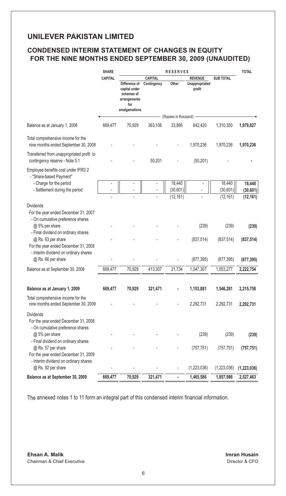# **CONDENSED INTERIM STATEMENT OF CHANGES IN EQUITY FOR THE NINE MONTHS ENDED SEPTEMBER 30, 2009 (UNAUDITED)**

|                                                                                                     | <b>SHARE</b><br><b>RESERVES</b> |                                                                                      |                                |                      |                                            | <b>TOTAL</b>       |                     |
|-----------------------------------------------------------------------------------------------------|---------------------------------|--------------------------------------------------------------------------------------|--------------------------------|----------------------|--------------------------------------------|--------------------|---------------------|
|                                                                                                     | <b>CAPITAL</b>                  | Difference of<br>capital under<br>schemes of<br>arrangements<br>for<br>amalgamations | CAPITAL<br>Contingency         | Other                | <b>REVENUE</b><br>Unappropriated<br>profit | <b>SUB TOTAL</b>   |                     |
|                                                                                                     |                                 |                                                                                      |                                | (Rupees in thousand) |                                            |                    |                     |
| Balance as at January 1, 2008                                                                       | 669,477                         | 70,929                                                                               | 363,106                        | 33,895               | 842,420                                    | 1,310,350          | 1,979,827           |
| Total comprehensive income for the<br>nine months ended September 30, 2008                          |                                 |                                                                                      |                                |                      | 1,970,236                                  | 1,970,236          | 1,970,236           |
| Transferred from unappropriated profit to<br>contingency reserve - Note 5.1                         |                                 |                                                                                      | 50,201                         |                      | (50, 201)                                  |                    |                     |
| Employee benefits cost under IFRS 2<br>- "Share-based Payment"                                      |                                 |                                                                                      |                                |                      |                                            |                    |                     |
| - Charge for the period<br>- Settlement during the period                                           |                                 | ÷,                                                                                   | $\overline{\phantom{a}}$<br>÷, | 18,440<br>(30, 601)  |                                            | 18,440<br>(30,601) | 18,440<br>(30, 601) |
| <b>Dividends</b><br>For the year ended December 31, 2007<br>- On cumulative preference shares       |                                 |                                                                                      |                                | (12, 161)            |                                            | (12, 161)          | (12, 161)           |
| @ 5% per share<br>- Final dividend on ordinary shares                                               |                                 |                                                                                      |                                |                      | (239)                                      | (239)              | (239)               |
| @ Rs. 63 per share<br>For the year ended December 31, 2008<br>- Interim dividend on ordinary shares |                                 |                                                                                      |                                |                      | (837, 514)                                 | (837, 514)         | (837, 514)          |
| @ Rs. 66 per share                                                                                  |                                 |                                                                                      |                                |                      | (877, 395)                                 | (877, 395)         | (877, 395)          |
| Balance as at September 30, 2008                                                                    | 669,477                         | 70,929                                                                               | 413,307                        | 21,734               | 1,047,307                                  | 1,553,277          | 2,222,754           |
| Balance as at January 1, 2009                                                                       | 669,477                         | 70,929                                                                               | 321,471                        |                      | 1,153,881                                  | 1,546,281          | 2,215,758           |
| Total comprehensive income for the<br>nine months ended September 30, 2009                          |                                 |                                                                                      |                                |                      | 2,292,731                                  | 2,292,731          | 2,292,731           |
| <b>Dividends</b><br>For the year ended December 31, 2008<br>- On cumulative preference shares       |                                 |                                                                                      |                                |                      |                                            |                    |                     |
| @ 5% per share<br>- Final dividend on ordinary shares                                               |                                 |                                                                                      |                                |                      | (239)                                      | (239)              | (239)               |
| @ Rs. 57 per share<br>For the year ended December 31, 2009                                          |                                 |                                                                                      |                                |                      | (757, 751)                                 | (757, 751)         | (757, 751)          |
| - Interim dividend on ordinary shares<br>@ Rs. 92 per share                                         |                                 |                                                                                      |                                |                      | (1,223,036)                                | (1,223,036)        | (1, 223, 036)       |
| Balance as at September 30, 2009                                                                    | 669,477                         | 70,929                                                                               | 321,471                        |                      | 1,465,586                                  | 1,857,986          | 2,527,463           |

The annexed notes 1 to 11 form an integral part of this condensed interim financial information.

**Ehsan A. Malik Imran Husain** Chairman & Chief Executive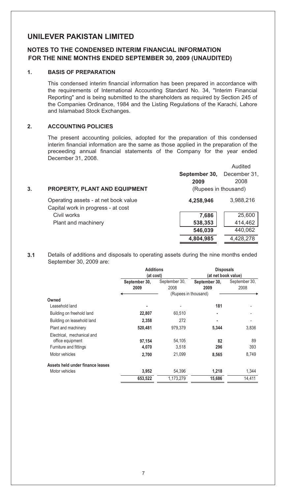## **NOTES TO THE CONDENSED INTERIM FINANCIAL INFORMATION FOR THE NINE MONTHS ENDED SEPTEMBER 30, 2009 (UNAUDITED)**

### **1. BASIS OF PREPARATION**

This condensed interim financial information has been prepared in accordance with the requirements of International Accounting Standard No. 34, "Interim Financial Reporting" and is being submitted to the shareholders as required by Section 245 of the Companies Ordinance, 1984 and the Listing Regulations of the Karachi, Lahore and Islamabad Stock Exchanges.

## **2. ACCOUNTING POLICIES**

The present accounting policies, adopted for the preparation of this condensed interim financial information are the same as those applied in the preparation of the preceeding annual financial statements of the Company for the year ended December 31, 2008.

| 3. | <b>PROPERTY, PLANT AND EQUIPMENT</b>                                       | September 30,<br>2009<br>(Rupees in thousand) | Audited<br>December 31.<br>2008 |
|----|----------------------------------------------------------------------------|-----------------------------------------------|---------------------------------|
|    | Operating assets - at net book value<br>Capital work in progress - at cost | 4,258,946                                     | 3,988,216                       |
|    | Civil works                                                                | 7,686                                         | 25,600                          |
|    | Plant and machinery                                                        | 538,353                                       | 414,462                         |
|    |                                                                            | 546,039                                       | 440,062                         |
|    |                                                                            | 4,804,985                                     | 4,428,278                       |
|    |                                                                            |                                               |                                 |

**3.1** Details of additions and disposals to operating assets during the nine months ended September 30, 2009 are:

|                                  | <b>Additions</b> |                      | <b>Disposals</b><br>(at net book value) |               |  |
|----------------------------------|------------------|----------------------|-----------------------------------------|---------------|--|
|                                  | (at cost)        |                      |                                         |               |  |
|                                  | September 30,    | September 30,        | September 30,                           | September 30, |  |
|                                  | 2009             | 2008                 | 2009                                    | 2008          |  |
|                                  |                  | (Rupees in thousand) |                                         |               |  |
| Owned                            |                  |                      |                                         |               |  |
| Leasehold land                   |                  |                      | 181                                     |               |  |
| Building on freehold land        | 22,807           | 60,510               | ٠                                       |               |  |
| Building on leasehold land       | 2,358            | 272                  | ٠                                       |               |  |
| Plant and machinery              | 520,481          | 979,379              | 5,344                                   | 3,836         |  |
| Electrical, mechanical and       |                  |                      |                                         |               |  |
| office equipment                 | 97,154           | 54,105               | 82                                      | 89            |  |
| Furniture and fittings           | 4,070            | 3,518                | 296                                     | 393           |  |
| Motor vehicles                   | 2,700            | 21,099               | 8,565                                   | 8,749         |  |
| Assets held under finance leases |                  |                      |                                         |               |  |
| Motor vehicles                   | 3,952            | 54,396               | 1,218                                   | 1,344         |  |
|                                  | 653,522          | 1,173,279            | 15,686                                  | 14,411        |  |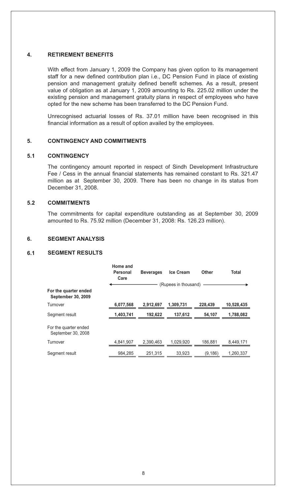## **4. RETIREMENT BENEFITS**

With effect from January 1, 2009 the Company has given option to its management staff for a new defined contribution plan i.e., DC Pension Fund in place of existing pension and management gratuity defined benefit schemes. As a result, present value of obligation as at January 1, 2009 amounting to Rs. 225.02 million under the existing pension and management gratuity plans in respect of employees who have opted for the new scheme has been transferred to the DC Pension Fund.

Unrecognised actuarial losses of Rs. 37.01 million have been recognised in this financial information as a result of option availed by the employees.

### **5. CONTINGENCY AND COMMITMENTS**

### **5.1 CONTINGENCY**

The contingency amount reported in respect of Sindh Development Infrastructure Fee / Cess in the annual financial statements has remained constant to Rs. 321.47 million as at September 30, 2009. There has been no change in its status from December 31, 2008.

### **5.2 COMMITMENTS**

The commitments for capital expenditure outstanding as at September 30, 2009 amounted to Rs. 75.92 million (December 31, 2008: Rs. 126.23 million).

## **6. SEGMENT ANALYSIS**

## **6.1 SEGMENT RESULTS**

|                                             | Home and<br>Personal<br>Care | <b>Beverages</b> | <b>Ice Cream</b>     | Other    | Total      |
|---------------------------------------------|------------------------------|------------------|----------------------|----------|------------|
|                                             |                              |                  | (Rupees in thousand) |          |            |
| For the quarter ended<br>September 30, 2009 |                              |                  |                      |          |            |
| Turnover                                    | 6,077,568                    | 2,912,697        | 1,309,731            | 228,439  | 10,528,435 |
| Segment result                              | 1,403,741                    | 192,622          | 137,612              | 54,107   | 1,788,082  |
| For the quarter ended<br>September 30, 2008 |                              |                  |                      |          |            |
| Turnover                                    | 4.841.907                    | 2.390.463        | 1.029.920            | 186.881  | 8.449.171  |
| Segment result                              | 984.285                      | 251.315          | 33.923               | (9, 186) | 1.260.337  |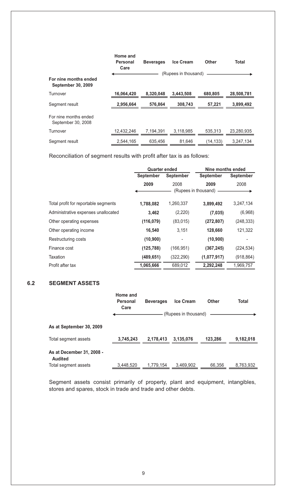|                                             | Home and<br>Personal<br>Care | <b>Beverages</b> | <b>Ice Cream</b>     | Other     | Total      |
|---------------------------------------------|------------------------------|------------------|----------------------|-----------|------------|
| For nine months ended<br>September 30, 2009 |                              |                  | (Rupees in thousand) |           |            |
| Turnover                                    | 16,064,420                   | 8.320.048        | 3.443.508            | 680.805   | 28,508,781 |
| Segment result                              | 2,956,664                    | 576.864          | 308.743              | 57.221    | 3,899,492  |
| For nine months ended<br>September 30, 2008 |                              |                  |                      |           |            |
| Turnover                                    | 12.432.246                   | 7.194.391        | 3,118,985            | 535.313   | 23.280.935 |
| Segment result                              | 2,544,165                    | 635,456          | 81.646               | (14, 133) | 3,247,134  |

Reconciliation of segment results with profit after tax is as follows:

|                                      | <b>Quarter ended</b>          |            | Nine months ended    |                  |  |
|--------------------------------------|-------------------------------|------------|----------------------|------------------|--|
|                                      | <b>September</b><br>September |            | September            | <b>September</b> |  |
|                                      | 2009                          | 2008       | 2009                 | 2008             |  |
|                                      |                               |            | (Rupees in thousand) |                  |  |
| Total profit for reportable segments | 1,788,082                     | 1,260,337  | 3,899,492            | 3,247,134        |  |
| Administrative expenses unallocated  | 3,462                         | (2, 220)   | (7,035)              | (6,968)          |  |
| Other operating expenses             | (116, 079)                    | (83,015)   | (272, 807)           | (248, 333)       |  |
| Other operating income               | 16,540                        | 3,151      | 128,660              | 121,322          |  |
| Restructuring costs                  | (10, 900)                     |            | (10, 900)            |                  |  |
| Finance cost                         | (125, 788)                    | (166, 951) | (367, 245)           | (224, 534)       |  |
| Taxation                             | (489, 651)                    | (322, 290) | (1,077,917)          | (918, 864)       |  |
| Profit after tax                     | 1,065,666                     | 689,012    | 2,292,248            | 1,969,757        |  |

## **6.2 SEGMENT ASSETS**

|                                      | Home and<br>Personal<br>Care | <b>Beverages</b> | <b>Ice Cream</b>     | Other   | Total     |
|--------------------------------------|------------------------------|------------------|----------------------|---------|-----------|
|                                      |                              |                  | (Rupees in thousand) |         |           |
| As at September 30, 2009             |                              |                  |                      |         |           |
| Total segment assets                 | 3,745,243                    | 2.178.413        | 3.135.076            | 123.286 | 9.182.018 |
| As at December 31, 2008 -<br>Audited |                              |                  |                      |         |           |
| Total segment assets                 | 3,448,520                    | 1.779.154        | 3,469,902            | 66.356  | 8,763,932 |

Segment assets consist primarily of property, plant and equipment, intangibles, stores and spares, stock in trade and trade and other debts.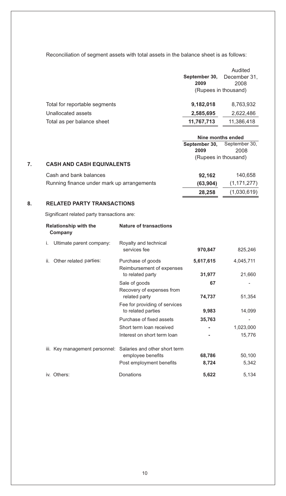Reconciliation of segment assets with total assets in the balance sheet is as follows:

|                               |               | Audited              |
|-------------------------------|---------------|----------------------|
|                               | September 30, | December 31,         |
|                               | 2009          | 2008                 |
|                               |               | (Rupees in thousand) |
| Total for reportable segments | 9,182,018     | 8,763,932            |
| Unallocated assets            | 2,585,695     | 2,622,486            |
| Total as per balance sheet    | 11,767,713    | 11,386,418           |
|                               |               |                      |

| Nine months ended                  |
|------------------------------------|
| <b>September 30, September 30,</b> |
| 2009                               |
| (Rupees in thousand)               |

#### **7. CASH AND CASH EQUIVALENTS**

| Cash and bank balances                     | 92.162   | 140.658       |
|--------------------------------------------|----------|---------------|
| Running finance under mark up arrangements | (63.904) | (1, 171, 277) |
|                                            | 28.258   | (1,030,619)   |

## **8. RELATED PARTY TRANSACTIONS**

Significant related party transactions are:

|     | <b>Relationship with the</b><br>Company | <b>Nature of transactions</b>                       |           |           |
|-----|-----------------------------------------|-----------------------------------------------------|-----------|-----------|
| İ.  | Ultimate parent company:                | Royalty and technical<br>services fee               | 970,847   | 825,246   |
| ii. | Other related parties:                  | Purchase of goods<br>Reimbursement of expenses      | 5,617,615 | 4,045,711 |
|     |                                         | to related party                                    | 31,977    | 21,660    |
|     |                                         | Sale of goods                                       | 67        |           |
|     |                                         | Recovery of expenses from<br>related party          | 74,737    | 51,354    |
|     |                                         | Fee for providing of services<br>to related parties | 9,983     | 14,099    |
|     |                                         | Purchase of fixed assets                            | 35,763    |           |
|     |                                         | Short term loan received                            |           | 1,023,000 |
|     |                                         | Interest on short term loan                         |           | 15,776    |
|     | iii. Key management personnel:          | Salaries and other short term                       |           |           |
|     |                                         | employee benefits                                   | 68,786    | 50,100    |
|     |                                         | Post employment benefits                            | 8,724     | 5,342     |
|     | iv. Others:                             | Donations                                           | 5,622     | 5,134     |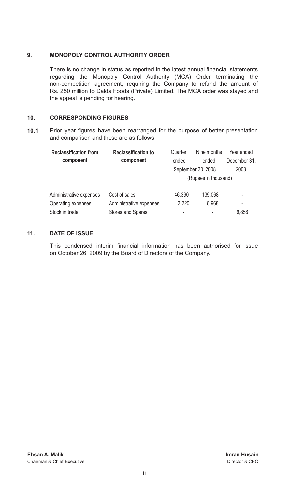## **9. MONOPOLY CONTROL AUTHORITY ORDER**

There is no change in status as reported in the latest annual financial statements regarding the Monopoly Control Authority (MCA) Order terminating the non-competition agreement, requiring the Company to refund the amount of Rs. 250 million to Dalda Foods (Private) Limited. The MCA order was stayed and the appeal is pending for hearing.

## **10. CORRESPONDING FIGURES**

**10.1** Prior year figures have been rearranged for the purpose of better presentation and comparison and these are as follows:

| <b>Reclassification from</b> | <b>Reclassification to</b> | Quarter | Nine months          | Year ended   |
|------------------------------|----------------------------|---------|----------------------|--------------|
| component                    | component                  | ended   | ended                | December 31, |
|                              |                            |         | September 30, 2008   | 2008         |
|                              |                            |         | (Rupees in thousand) |              |
| Administrative expenses      | Cost of sales              | 46,390  | 139,068              | ٠            |
| Operating expenses           | Administrative expenses    | 2.220   | 6.968                | ٠            |
| Stock in trade               | Stores and Spares          | ۰       |                      | 9,856        |

## **11. DATE OF ISSUE**

This condensed interim financial information has been authorised for issue on October 26, 2009 by the Board of Directors of the Company.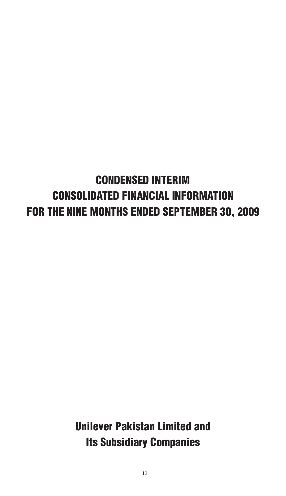# CONDENSED INTERIM CONSOLIDATED FINANCIAL INFORMATION FOR THE NINE MONTHS ENDED SEPTEMBER 30, 2009

Unilever Pakistan Limited and Its Subsidiary Companies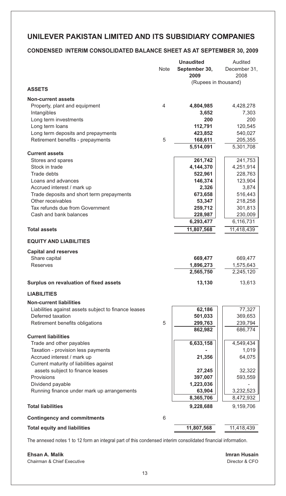## **CONDENSED INTERIM CONSOLIDATED BALANCE SHEET AS AT SEPTEMBER 30, 2009**

|                                                      |      | <b>Unaudited</b>       | Audited                |
|------------------------------------------------------|------|------------------------|------------------------|
|                                                      | Note | September 30,          | December 31,           |
|                                                      |      | 2009                   | 2008                   |
|                                                      |      | (Rupees in thousand)   |                        |
| <b>ASSETS</b>                                        |      |                        |                        |
| <b>Non-current assets</b>                            |      |                        |                        |
| Property, plant and equipment                        | 4    | 4,804,985              | 4,428,278              |
| Intangibles                                          |      | 3,652                  | 7,303                  |
| Long term investments                                |      | 200                    | 200                    |
| Long term loans                                      |      | 112,791                | 120,545                |
| Long term deposits and prepayments                   |      | 423,852                | 540,027                |
| Retirement benefits - prepayments                    | 5    | 168,611                | 205,355                |
|                                                      |      | 5,514,091              | 5,301,708              |
| <b>Current assets</b>                                |      |                        |                        |
| Stores and spares                                    |      | 261,742                | 241,753                |
| Stock in trade                                       |      | 4,144,370              | 4,251,914              |
| Trade debts                                          |      | 522,961                | 228,763                |
| Loans and advances                                   |      | 146,374                | 123,904                |
| Accrued interest / mark up                           |      | 2,326                  | 3,874                  |
| Trade deposits and short term prepayments            |      | 673,658                | 516,443                |
| Other receivables                                    |      | 53,347                 | 218,258                |
| Tax refunds due from Government                      |      | 259,712                | 301,813                |
| Cash and bank balances                               |      | 228,987                | 230,009                |
|                                                      |      | 6,293,477              | 6,116,731              |
| <b>Total assets</b>                                  |      | 11,807,568             | 11,418,439             |
| <b>EQUITY AND LIABILITIES</b>                        |      |                        |                        |
| <b>Capital and reserves</b>                          |      |                        |                        |
| Share capital                                        |      | 669,477                | 669,477                |
| Reserves                                             |      | 1,896,273              | 1,575,643              |
|                                                      |      | 2,565,750              | 2,245,120              |
| Surplus on revaluation of fixed assets               |      | 13,130                 | 13,613                 |
| <b>LIABILITIES</b>                                   |      |                        |                        |
| <b>Non-current liabilities</b>                       |      |                        |                        |
| Liabilities against assets subject to finance leases |      | 62,186                 | 77,327                 |
| Deferred taxation                                    |      | 501,033                | 369,653                |
| Retirement benefits obligations                      | 5    | 299,763                | 239,794                |
|                                                      |      | 862,982                | 686,774                |
| <b>Current liabilities</b>                           |      |                        |                        |
| Trade and other payables                             |      | 6,633,158              | 4,549,434              |
| Taxation - provision less payments                   |      |                        | 1,019                  |
| Accrued interest / mark up                           |      | 21,356                 | 64,075                 |
| Current maturity of liabilities against              |      |                        |                        |
| assets subject to finance leases                     |      | 27,245                 | 32,322                 |
| Provisions                                           |      | 397,007                | 593,559                |
| Dividend payable                                     |      | 1,223,036              |                        |
| Running finance under mark up arrangements           |      | 63,904                 | 3,232,523              |
| <b>Total liabilities</b>                             |      | 8,365,706<br>9,228,688 | 8,472,932<br>9,159,706 |
|                                                      |      |                        |                        |
| <b>Contingency and commitments</b>                   | 6    |                        |                        |
| <b>Total equity and liabilities</b>                  |      | 11,807,568             | 11,418,439             |

The annexed notes 1 to 12 form an integral part of this condensed interim consolidated financial information.

**Ehsan A. Malik Imran Husain** Chairman & Chief Executive

Director & CFO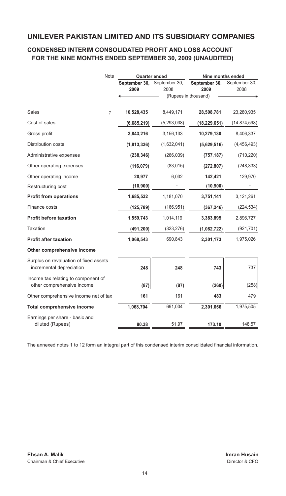## **CONDENSED INTERIM CONSOLIDATED PROFIT AND LOSS ACCOUNT FOR THE NINE MONTHS ENDED SEPTEMBER 30, 2009 (UNAUDITED)**

| Note                                                               | <b>Quarter ended</b> |                                     | Nine months ended     |                       |  |
|--------------------------------------------------------------------|----------------------|-------------------------------------|-----------------------|-----------------------|--|
|                                                                    | 2009                 | September 30, September 30,<br>2008 | September 30,<br>2009 | September 30,<br>2008 |  |
|                                                                    |                      |                                     | (Rupees in thousand)  |                       |  |
| Sales<br>$\overline{7}$                                            | 10,528,435           | 8,449,171                           | 28,508,781            | 23,280,935            |  |
| Cost of sales                                                      | (6,685,219)          | (5, 293, 038)                       | (18, 229, 651)        | (14, 874, 598)        |  |
| Gross profit                                                       | 3,843,216            | 3,156,133                           | 10,279,130            | 8,406,337             |  |
| Distribution costs                                                 | (1,813,336)          | (1,632,041)                         | (5,629,516)           | (4,456,493)           |  |
| Administrative expenses                                            | (238, 346)           | (266, 039)                          | (757, 187)            | (710, 220)            |  |
| Other operating expenses                                           | (116,079)            | (83,015)                            | (272, 807)            | (248, 333)            |  |
| Other operating income                                             | 20,977               | 6,032                               | 142,421               | 129,970               |  |
| Restructuring cost                                                 | (10, 900)            |                                     | (10, 900)             |                       |  |
| <b>Profit from operations</b>                                      | 1,685,532            | 1,181,070                           | 3,751,141             | 3,121,261             |  |
| Finance costs                                                      | (125, 789)           | (166, 951)                          | (367, 246)            | (224, 534)            |  |
| <b>Profit before taxation</b>                                      | 1,559,743            | 1,014,119                           | 3,383,895             | 2,896,727             |  |
| Taxation                                                           | (491, 200)           | (323, 276)                          | (1,082,722)           | (921, 701)            |  |
| <b>Profit after taxation</b>                                       | 1,068,543            | 690,843                             | 2,301,173             | 1,975,026             |  |
| Other comprehensive income                                         |                      |                                     |                       |                       |  |
| Surplus on revaluation of fixed assets<br>incremental depreciation | 248                  | 248                                 | 743                   | 737                   |  |
| Income tax relating to component of<br>other comprehensive income  | (87)                 | (87)                                | (260)                 | (258)                 |  |
| Other comprehensive income net of tax                              | 161                  | 161                                 | 483                   | 479                   |  |
| <b>Total comprehensive income</b>                                  | 1,068,704            | 691,004                             | 2,301,656             | 1,975,505             |  |
| Earnings per share - basic and<br>diluted (Rupees)                 | 80.38                | 51.97                               | 173.10                | 148.57                |  |

The annexed notes 1 to 12 form an integral part of this condensed interim consolidated financial information.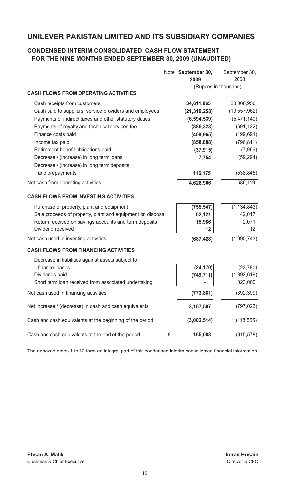## **CONDENSED INTERIM CONSOLIDATED CASH FLOW STATEMENT FOR THE NINE MONTHS ENDED SEPTEMBER 30, 2009 (UNAUDITED)**

|                                                            | Note September 30,<br>2009 | September 30,<br>2008 |
|------------------------------------------------------------|----------------------------|-----------------------|
|                                                            | (Rupees in thousand)       |                       |
| <b>CASH FLOWS FROM OPERATING ACTIVITIES</b>                |                            |                       |
| Cash receipts from customers                               | 34,611,865                 | 28,008,950            |
| Cash paid to suppliers, service providers and employees    | (21, 319, 258)             | (19, 557, 962)        |
| Payments of indirect taxes and other statutory duties      | (6, 594, 539)              | (5,471,140)           |
| Payments of royalty and technical services fee             | (886, 323)                 | (691, 122)            |
| Finance costs paid                                         | (409, 965)                 | (199, 691)            |
| Income tax paid                                            | (858, 888)                 | (796, 811)            |
| Retirement benefit obligations paid                        | (37, 915)                  | (7,966)               |
| Decrease / (increase) in long term loans                   | 7,754                      | (59, 294)             |
| Decrease / (increase) in long term deposits                |                            |                       |
| and prepayments                                            | 116,175                    | (538, 845)            |
| Net cash from operating activities                         | 4,628,906                  | 686,119               |
| <b>CASH FLOWS FROM INVESTING ACTIVITIES</b>                |                            |                       |
| Purchase of property, plant and equipment                  | (755, 547)                 | (1, 134, 843)         |
| Sale proceeds of property, plant and equipment on disposal | 52,121                     | 42,017                |
| Return received on savings accounts and term deposits      | 15,986                     | 2,071                 |
| Dividend received                                          | 12                         | 12                    |
| Net cash used in investing activities                      | (687, 428)                 | (1,090,743)           |
| <b>CASH FLOWS FROM FINANCING ACTIVITIES</b>                |                            |                       |
| Decrease in liabilities against assets subject to          |                            |                       |
| finance leases                                             | (24, 170)                  | (22, 780)             |
| Dividends paid                                             | (749, 711)                 | (1, 392, 619)         |
| Short term loan received from associated undertaking       |                            | 1,023,000             |
| Net cash used in financing activities                      | (773, 881)                 | (392, 399)            |
| Net increase / (decrease) in cash and cash equivalents     | 3,167,597                  | (797, 023)            |
| Cash and cash equivalents at the beginning of the period   | (3,002,514)                | (118, 555)            |
| Cash and cash equivalents at the end of the period<br>8    | 165,083                    | (915, 578)            |

The annexed notes 1 to 12 form an integral part of this condensed interim consolidated financial information.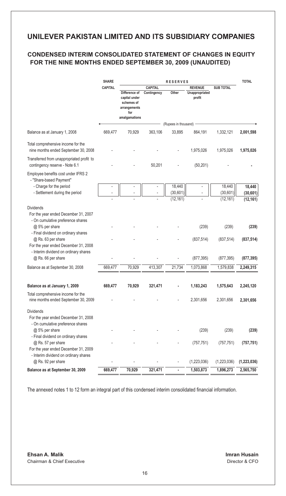# **CONDENSED INTERIM CONSOLIDATED STATEMENT OF CHANGES IN EQUITY FOR THE NINE MONTHS ENDED SEPTEMBER 30, 2009 (UNAUDITED)**

|                                                                                                                                                              | <b>SHARE</b>   | <b>RESERVES</b>                                                                      |                        |                                 |                                            |                                  | <b>TOTAL</b>                     |
|--------------------------------------------------------------------------------------------------------------------------------------------------------------|----------------|--------------------------------------------------------------------------------------|------------------------|---------------------------------|--------------------------------------------|----------------------------------|----------------------------------|
|                                                                                                                                                              | <b>CAPITAL</b> | Difference of<br>capital under<br>schemes of<br>arrangements<br>for<br>amalgamations | CAPITAL<br>Contingency | Other                           | <b>REVENUE</b><br>Unappropriated<br>profit | <b>SUB TOTAL</b>                 |                                  |
|                                                                                                                                                              |                |                                                                                      |                        | (Rupees in thousand)            |                                            |                                  |                                  |
| Balance as at January 1, 2008                                                                                                                                | 669,477        | 70,929                                                                               | 363,106                | 33,895                          | 864,191                                    | 1,332,121                        | 2,001,598                        |
| Total comprehensive income for the<br>nine months ended September 30, 2008                                                                                   |                |                                                                                      |                        |                                 | 1,975,026                                  | 1,975,026                        | 1,975,026                        |
| Transferred from unappropriated profit to<br>contingency reserve - Note 6.1                                                                                  |                |                                                                                      | 50,201                 |                                 | (50, 201)                                  |                                  |                                  |
| Employee benefits cost under IFRS 2<br>- "Share-based Payment"<br>- Charge for the period<br>- Settlement during the period                                  |                |                                                                                      | ÷,                     | 18,440<br>(30,601)<br>(12, 161) |                                            | 18,440<br>(30, 601)<br>(12, 161) | 18,440<br>(30, 601)<br>(12, 161) |
| <b>Dividends</b><br>For the year ended December 31, 2007<br>- On cumulative preference shares                                                                |                |                                                                                      |                        |                                 |                                            |                                  |                                  |
| @ 5% per share<br>- Final dividend on ordinary shares<br>@ Rs. 63 per share<br>For the year ended December 31, 2008<br>- Interim dividend on ordinary shares |                |                                                                                      |                        |                                 | (239)<br>(837, 514)                        | (239)<br>(837, 514)              | (239)<br>(837, 514)              |
| @ Rs. 66 per share                                                                                                                                           |                |                                                                                      |                        |                                 | (877, 395)                                 | (877, 395)                       | (877, 395)                       |
| Balance as at September 30, 2008                                                                                                                             | 669,477        | 70,929                                                                               | 413,307                | 21,734                          | 1,073,868                                  | 1,579,838                        | 2,249,315                        |
| Balance as at January 1, 2009                                                                                                                                | 669,477        | 70,929                                                                               | 321,471                |                                 | 1,183,243                                  | 1,575,643                        | 2,245,120                        |
| Total comprehensive income for the<br>nine months ended September 30, 2009                                                                                   |                |                                                                                      |                        |                                 | 2,301,656                                  | 2,301,656                        | 2,301,656                        |
| <b>Dividends</b><br>For the year ended December 31, 2008<br>- On cumulative preference shares                                                                |                |                                                                                      |                        |                                 |                                            |                                  |                                  |
| @ 5% per share                                                                                                                                               |                |                                                                                      |                        |                                 | (239)                                      | (239)                            | (239)                            |
| - Final dividend on ordinary shares<br>@ Rs. 57 per share<br>For the year ended December 31, 2009                                                            |                |                                                                                      |                        |                                 | (757, 751)                                 | (757, 751)                       | (757, 751)                       |
| - Interim dividend on ordinary shares<br>@ Rs. 92 per share                                                                                                  |                |                                                                                      |                        |                                 | (1,223,036)                                | (1,223,036)                      | (1,223,036)                      |
| Balance as at September 30, 2009                                                                                                                             | 669,477        | 70,929                                                                               | 321,471                | ä,                              | 1,503,873                                  | 1,896,273                        | 2,565,750                        |

The annexed notes 1 to 12 form an integral part of this condensed interim consolidated financial information.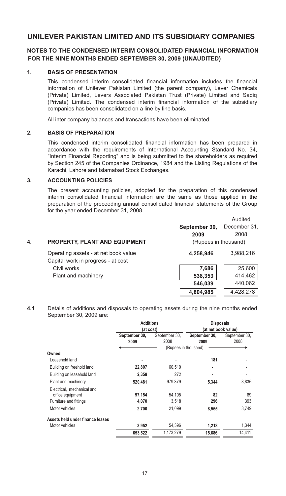## **NOTES TO THE CONDENSED INTERIM CONSOLIDATED FINANCIAL INFORMATION FOR THE NINE MONTHS ENDED SEPTEMBER 30, 2009 (UNAUDITED)**

## **1. BASIS OF PRESENTATION**

This condensed interim consolidated financial information includes the financial information of Unilever Pakistan Limited (the parent company), Lever Chemicals (Private) Limited, Levers Associated Pakistan Trust (Private) Limited and Sadiq (Private) Limited. The condensed interim financial information of the subsidiary companies has been consolidated on a line by line basis.

All inter company balances and transactions have been eliminated.

#### **2. BASIS OF PREPARATION**

This condensed interim consolidated financial information has been prepared in accordance with the requirements of International Accounting Standard No. 34, "Interim Financial Reporting" and is being submitted to the shareholders as required by Section 245 of the Companies Ordinance, 1984 and the Listing Regulations of the Karachi, Lahore and Islamabad Stock Exchanges.

#### **3. ACCOUNTING POLICIES**

The present accounting policies, adopted for the preparation of this condensed interim consolidated financial information are the same as those applied in the preparation of the preceeding annual consolidated financial statements of the Group for the year ended December 31, 2008.

|    |                                                                            |                      | Audited      |
|----|----------------------------------------------------------------------------|----------------------|--------------|
|    |                                                                            | September 30,        | December 31, |
|    |                                                                            | 2009                 | 2008         |
| 4. | <b>PROPERTY, PLANT AND EQUIPMENT</b>                                       | (Rupees in thousand) |              |
|    | Operating assets - at net book value<br>Capital work in progress - at cost | 4,258,946            | 3,988,216    |
|    | Civil works                                                                | 7,686                | 25,600       |
|    | Plant and machinery                                                        | 538,353              | 414,462      |
|    |                                                                            | 546.039              | 440,062      |
|    |                                                                            | 4.804.985            | 4.428.278    |

**4.1** Details of additions and disposals to operating assets during the nine months ended September 30, 2009 are:

|                                  | <b>Additions</b> |               | <b>Disposals</b><br>at net book value) |               |  |
|----------------------------------|------------------|---------------|----------------------------------------|---------------|--|
|                                  | (at cost)        |               |                                        |               |  |
|                                  | September 30,    | September 30, | September 30,                          | September 30, |  |
|                                  | 2009             | 2008          | 2009                                   | 2008          |  |
|                                  |                  |               | (Rupees in thousand)                   |               |  |
| Owned                            |                  |               |                                        |               |  |
| Leasehold land                   |                  |               | 181                                    |               |  |
| Building on freehold land        | 22,807           | 60,510        | ٠                                      |               |  |
| Building on leasehold land       | 2,358            | 272           |                                        |               |  |
| Plant and machinery              | 520,481          | 979,379       | 5,344                                  | 3,836         |  |
| Electrical, mechanical and       |                  |               |                                        |               |  |
| office equipment                 | 97,154           | 54,105        | 82                                     | 89            |  |
| Furniture and fittings           | 4,070            | 3,518         | 296                                    | 393           |  |
| Motor vehicles                   | 2,700            | 21,099        | 8,565                                  | 8,749         |  |
| Assets held under finance leases |                  |               |                                        |               |  |
| Motor vehicles                   | 3,952            | 54,396        | 1,218                                  | 1,344         |  |
|                                  | 653,522          | 1,173,279     | 15.686                                 | 14,411        |  |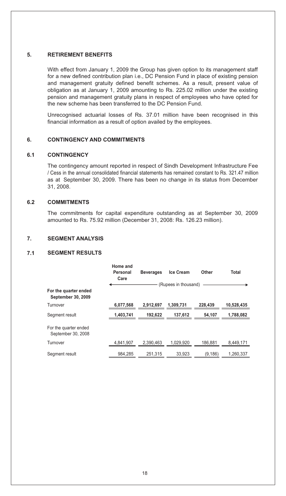## **5. RETIREMENT BENEFITS**

With effect from January 1, 2009 the Group has given option to its management staff for a new defined contribution plan i.e., DC Pension Fund in place of existing pension and management gratuity defined benefit schemes. As a result, present value of obligation as at January 1, 2009 amounting to Rs. 225.02 million under the existing pension and management gratuity plans in respect of employees who have opted for the new scheme has been transferred to the DC Pension Fund.

Unrecognised actuarial losses of Rs. 37.01 million have been recognised in this financial information as a result of option availed by the employees.

## **6. CONTINGENCY AND COMMITMENTS**

### **6.1 CONTINGENCY**

The contingency amount reported in respect of Sindh Development Infrastructure Fee / Cess in the annual consolidated financial statements has remained constant to Rs. 321.47 million as at September 30, 2009. There has been no change in its status from December 31, 2008.

### **6.2 COMMITMENTS**

The commitments for capital expenditure outstanding as at September 30, 2009 amounted to Rs. 75.92 million (December 31, 2008: Rs. 126.23 million).

### **7. SEGMENT ANALYSIS**

### **7.1 SEGMENT RESULTS**

|                                             | Home and<br>Personal<br>Care | <b>Beverages</b> | Ice Cream            | Other    | Total      |
|---------------------------------------------|------------------------------|------------------|----------------------|----------|------------|
|                                             |                              |                  | (Rupees in thousand) |          |            |
| For the quarter ended<br>September 30, 2009 |                              |                  |                      |          |            |
| Turnover                                    | 6,077,568                    | 2,912,697        | 1.309.731            | 228,439  | 10,528,435 |
| Segment result                              | 1,403,741                    | 192.622          | 137.612              | 54,107   | 1,788,082  |
| For the quarter ended<br>September 30, 2008 |                              |                  |                      |          |            |
| Turnover                                    | 4,841,907                    | 2.390.463        | 1.029.920            | 186,881  | 8,449,171  |
| Segment result                              | 984.285                      | 251.315          | 33.923               | (9, 186) | 1.260.337  |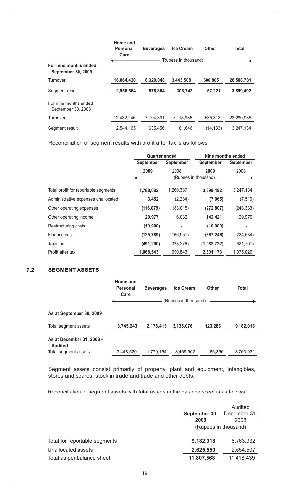|                                             | Home and<br>Personal<br>Care | <b>Beverages</b> | <b>Ice Cream</b>     | Other     | <b>Total</b> |
|---------------------------------------------|------------------------------|------------------|----------------------|-----------|--------------|
|                                             |                              |                  | (Rupees in thousand) |           |              |
| For nine months ended<br>September 30, 2009 |                              |                  |                      |           |              |
| Turnover                                    | 16,064,420                   | 8.320.048        | 3.443.508            | 680.805   | 28,508,781   |
| Segment result                              | 2,956,664                    | 576.864          | 308.743              | 57,221    | 3,899,492    |
| For nine months ended<br>September 30, 2008 |                              |                  |                      |           |              |
| Turnover                                    | 12,432,246                   | 7.194.391        | 3,118,985            | 535.313   | 23,280,935   |
| Segment result                              | 2,544,165                    | 635,456          | 81,646               | (14, 133) | 3,247,134    |
|                                             |                              |                  |                      |           |              |

Reconciliation of segment results with profit after tax is as follows:

|                                      | <b>Quarter ended</b> |            | Nine months ended |            |
|--------------------------------------|----------------------|------------|-------------------|------------|
|                                      | <b>September</b>     | September  | <b>September</b>  | September  |
|                                      | 2009                 | 2008       | 2009              | 2008       |
|                                      | (Rupees in thousand) |            |                   |            |
| Total profit for reportable segments | 1,788,082            | 1,260,337  | 3,899,492         | 3,247,134  |
| Administrative expenses unallocated  | 3,452                | (2, 284)   | (7,065)           | (7, 510)   |
| Other operating expenses             | (116, 079)           | (83,015)   | (272, 807)        | (248, 333) |
| Other operating income               | 20,977               | 6,032      | 142,421           | 129,970    |
| Restructuring costs                  | (10, 900)            |            | (10, 900)         |            |
| Finance cost                         | (125, 789)           | (166, 951) | (367, 246)        | (224, 534) |
| Taxation                             | (491, 200)           | (323, 276) | (1,082,722)       | (921, 701) |
| Profit after tax                     | 1.068.543            | 690.843    | 2,301,173         | 1.975.026  |

## **7.2 SEGMENT ASSETS**

|                                             | Home and<br>Personal<br>Care | <b>Beverages</b> | Ice Cream            | Other   | Total     |
|---------------------------------------------|------------------------------|------------------|----------------------|---------|-----------|
|                                             |                              |                  | (Rupees in thousand) |         |           |
| As at September 30, 2009                    |                              |                  |                      |         |           |
| Total segment assets                        | 3,745,243                    | 2.178.413        | 3,135,076            | 123.286 | 9,182,018 |
| As at December 31, 2008 -<br><b>Audited</b> |                              |                  |                      |         |           |
| Total segment assets                        | 3,448,520                    | 1,779,154        | 3,469,902            | 66,356  | 8,763,932 |

Segment assets consist primarily of property, plant and equipment, intangibles, stores and spares, stock in trade and trade and other debts.

Reconciliation of segment assets with total assets in the balance sheet is as follows:

|                               | September 30,<br>2009 | Audited<br>December 31,<br>2008 |  |
|-------------------------------|-----------------------|---------------------------------|--|
|                               | (Rupees in thousand)  |                                 |  |
| Total for reportable segments | 9,182,018             | 8,763,932                       |  |
| Unallocated assets            | 2,625,550             | 2,654,507                       |  |
| Total as per balance sheet    | 11,807,568            | 11,418,439                      |  |